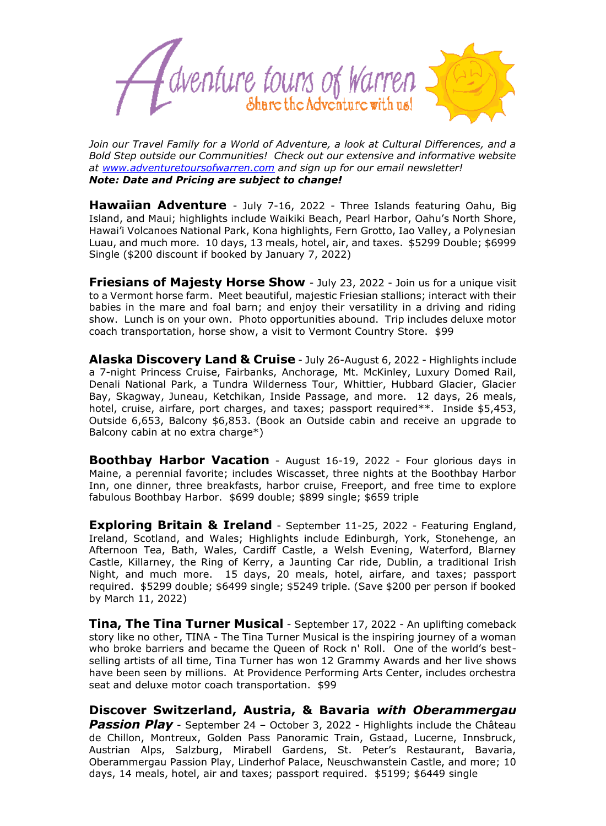

*Join our Travel Family for a World of Adventure, a look at Cultural Differences, and a Bold Step outside our Communities! Check out our extensive and informative website at [www.adventuretoursofwarren.com](http://www.adventuretoursofwarren.com/) and sign up for our email newsletter! Note: Date and Pricing are subject to change!*

**Hawaiian Adventure** - July 7-16, 2022 - Three Islands featuring Oahu, Big Island, and Maui; highlights include Waikiki Beach, Pearl Harbor, Oahu's North Shore, Hawai'i Volcanoes National Park, Kona highlights, Fern Grotto, Iao Valley, a Polynesian Luau, and much more. 10 days, 13 meals, hotel, air, and taxes. \$5299 Double; \$6999 Single (\$200 discount if booked by January 7, 2022)

**Friesians of Majesty Horse Show** - July 23, 2022 - Join us for a unique visit to a Vermont horse farm. Meet beautiful, majestic Friesian stallions; interact with their babies in the mare and foal barn; and enjoy their versatility in a driving and riding show. Lunch is on your own. Photo opportunities abound. Trip includes deluxe motor coach transportation, horse show, a visit to Vermont Country Store. \$99

**Alaska Discovery Land & Cruise** - July 26-August 6, 2022 - Highlights include a 7-night Princess Cruise, Fairbanks, Anchorage, Mt. McKinley, Luxury Domed Rail, Denali National Park, a Tundra Wilderness Tour, Whittier, Hubbard Glacier, Glacier Bay, Skagway, Juneau, Ketchikan, Inside Passage, and more. 12 days, 26 meals, hotel, cruise, airfare, port charges, and taxes; passport required\*\*. Inside \$5,453, Outside 6,653, Balcony \$6,853. (Book an Outside cabin and receive an upgrade to Balcony cabin at no extra charge\*)

**Boothbay Harbor Vacation** - August 16-19, 2022 - Four glorious days in Maine, a perennial favorite; includes Wiscasset, three nights at the Boothbay Harbor Inn, one dinner, three breakfasts, harbor cruise, Freeport, and free time to explore fabulous Boothbay Harbor. \$699 double; \$899 single; \$659 triple

**Exploring Britain & Ireland** - September 11-25, 2022 - Featuring England, Ireland, Scotland, and Wales; Highlights include Edinburgh, York, Stonehenge, an Afternoon Tea, Bath, Wales, Cardiff Castle, a Welsh Evening, Waterford, Blarney Castle, Killarney, the Ring of Kerry, a Jaunting Car ride, Dublin, a traditional Irish Night, and much more. 15 days, 20 meals, hotel, airfare, and taxes; passport required. \$5299 double; \$6499 single; \$5249 triple. (Save \$200 per person if booked by March 11, 2022)

**Tina, The Tina Turner Musical** - September 17, 2022 - An uplifting comeback story like no other, TINA - The Tina Turner Musical is the inspiring journey of a woman who broke barriers and became the Queen of Rock n' Roll. One of the world's bestselling artists of all time, Tina Turner has won 12 Grammy Awards and her live shows have been seen by millions. At Providence Performing Arts Center, includes orchestra seat and deluxe motor coach transportation. \$99

**Discover Switzerland, Austria, & Bavaria** *with Oberammergau Passion Play* - September 24 – October 3, 2022 - Highlights include the Château de Chillon, Montreux, Golden Pass Panoramic Train, Gstaad, Lucerne, Innsbruck, Austrian Alps, Salzburg, Mirabell Gardens, St. Peter's Restaurant, Bavaria, Oberammergau Passion Play, Linderhof Palace, Neuschwanstein Castle, and more; 10 days, 14 meals, hotel, air and taxes; passport required. \$5199; \$6449 single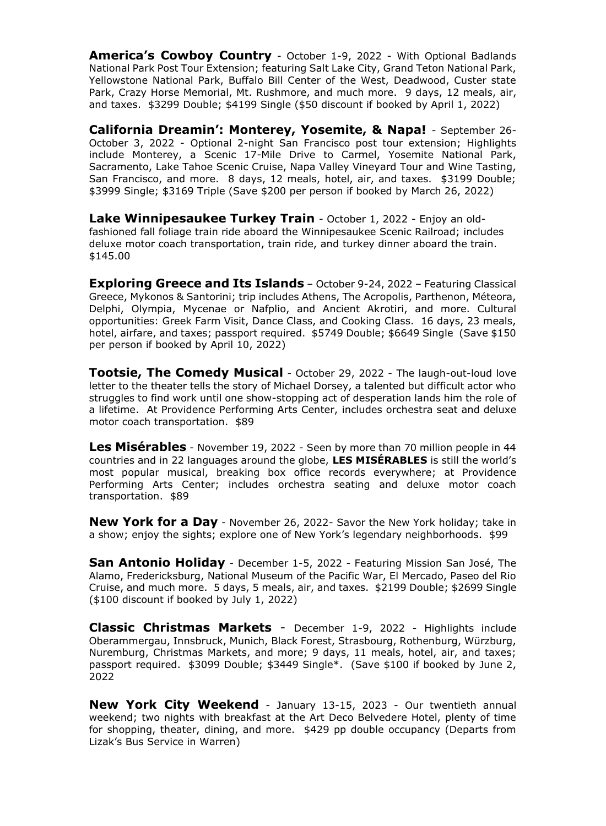**America's Cowboy Country** - October 1-9, 2022 - With Optional Badlands National Park Post Tour Extension; featuring Salt Lake City, Grand Teton National Park, Yellowstone National Park, Buffalo Bill Center of the West, Deadwood, Custer state Park, Crazy Horse Memorial, Mt. Rushmore, and much more. 9 days, 12 meals, air, and taxes. \$3299 Double; \$4199 Single (\$50 discount if booked by April 1, 2022)

**California Dreamin': Monterey, Yosemite, & Napa!** - September 26- October 3, 2022 - Optional 2-night San Francisco post tour extension; Highlights include Monterey, a Scenic 17-Mile Drive to Carmel, Yosemite National Park, Sacramento, Lake Tahoe Scenic Cruise, Napa Valley Vineyard Tour and Wine Tasting, San Francisco, and more. 8 days, 12 meals, hotel, air, and taxes. \$3199 Double; \$3999 Single; \$3169 Triple (Save \$200 per person if booked by March 26, 2022)

**Lake Winnipesaukee Turkey Train** - October 1, 2022 - Enjoy an oldfashioned fall foliage train ride aboard the Winnipesaukee Scenic Railroad; includes deluxe motor coach transportation, train ride, and turkey dinner aboard the train. \$145.00

**Exploring Greece and Its Islands** – October 9-24, 2022 – Featuring Classical Greece, Mykonos & Santorini; trip includes Athens, The Acropolis, Parthenon, Méteora, Delphi, Olympia, Mycenae or Nafplio, and Ancient Akrotiri, and more. Cultural opportunities: Greek Farm Visit, Dance Class, and Cooking Class. 16 days, 23 meals, hotel, airfare, and taxes; passport required. \$5749 Double; \$6649 Single (Save \$150 per person if booked by April 10, 2022)

**Tootsie, The Comedy Musical** - October 29, 2022 - The laugh-out-loud love letter to the theater tells the story of Michael Dorsey, a talented but difficult actor who struggles to find work until one show-stopping act of desperation lands him the role of a lifetime. At Providence Performing Arts Center, includes orchestra seat and deluxe motor coach transportation. \$89

**Les Misérables** - November 19, 2022 - Seen by more than 70 million people in 44 countries and in 22 languages around the globe, **LES MISÉRABLES** is still the world's most popular musical, breaking box office records everywhere; at Providence Performing Arts Center; includes orchestra seating and deluxe motor coach transportation. \$89

**New York for a Day** - November 26, 2022- Savor the New York holiday; take in a show; enjoy the sights; explore one of New York's legendary neighborhoods. \$99

**San Antonio Holiday** - December 1-5, 2022 - Featuring Mission San José, The Alamo, Fredericksburg, National Museum of the Pacific War, El Mercado, Paseo del Rio Cruise, and much more. 5 days, 5 meals, air, and taxes. \$2199 Double; \$2699 Single (\$100 discount if booked by July 1, 2022)

**Classic Christmas Markets** - December 1-9, 2022 - Highlights include Oberammergau, Innsbruck, Munich, Black Forest, Strasbourg, Rothenburg, Würzburg, Nuremburg, Christmas Markets, and more; 9 days, 11 meals, hotel, air, and taxes; passport required. \$3099 Double; \$3449 Single\*. (Save \$100 if booked by June 2, 2022

**New York City Weekend** - January 13-15, 2023 - Our twentieth annual weekend; two nights with breakfast at the Art Deco Belvedere Hotel, plenty of time for shopping, theater, dining, and more. \$429 pp double occupancy (Departs from Lizak's Bus Service in Warren)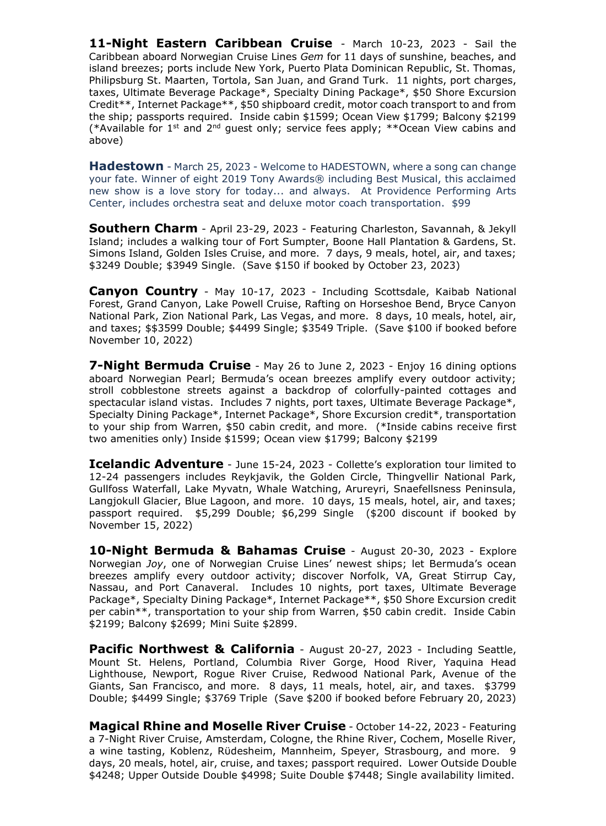**11-Night Eastern Caribbean Cruise** - March 10-23, 2023 - Sail the Caribbean aboard Norwegian Cruise Lines *Gem* for 11 days of sunshine, beaches, and island breezes; ports include New York, Puerto Plata Dominican Republic, St. Thomas, Philipsburg St. Maarten, Tortola, San Juan, and Grand Turk. 11 nights, port charges, taxes, Ultimate Beverage Package\*, Specialty Dining Package\*, \$50 Shore Excursion Credit\*\*, Internet Package\*\*, \$50 shipboard credit, motor coach transport to and from the ship; passports required. Inside cabin \$1599; Ocean View \$1799; Balcony \$2199 (\*Available for  $1^{st}$  and  $2^{nd}$  guest only; service fees apply; \*\*Ocean View cabins and above)

**Hadestown** - March 25, 2023 - Welcome to HADESTOWN, where a song can change your fate. Winner of eight 2019 Tony Awards® including Best Musical, this acclaimed new show is a love story for today... and always. At Providence Performing Arts Center, includes orchestra seat and deluxe motor coach transportation. \$99

**Southern Charm** - April 23-29, 2023 - Featuring Charleston, Savannah, & Jekyll Island; includes a walking tour of Fort Sumpter, Boone Hall Plantation & Gardens, St. Simons Island, Golden Isles Cruise, and more. 7 days, 9 meals, hotel, air, and taxes; \$3249 Double; \$3949 Single. (Save \$150 if booked by October 23, 2023)

**Canyon Country** - May 10-17, 2023 - Including Scottsdale, Kaibab National Forest, Grand Canyon, Lake Powell Cruise, Rafting on Horseshoe Bend, Bryce Canyon National Park, Zion National Park, Las Vegas, and more. 8 days, 10 meals, hotel, air, and taxes; \$\$3599 Double; \$4499 Single; \$3549 Triple. (Save \$100 if booked before November 10, 2022)

**7-Night Bermuda Cruise** - May 26 to June 2, 2023 - Enjoy 16 dining options aboard Norwegian Pearl; Bermuda's ocean breezes amplify every outdoor activity; stroll cobblestone streets against a backdrop of colorfully-painted cottages and spectacular island vistas. Includes 7 nights, port taxes, Ultimate Beverage Package\*, Specialty Dining Package\*, Internet Package\*, Shore Excursion credit\*, transportation to your ship from Warren, \$50 cabin credit, and more. (\*Inside cabins receive first two amenities only) Inside \$1599; Ocean view \$1799; Balcony \$2199

**Icelandic Adventure** - June 15-24, 2023 - Collette's exploration tour limited to 12-24 passengers includes Reykjavik, the Golden Circle, Thingvellir National Park, Gullfoss Waterfall, Lake Myvatn, Whale Watching, Arureyri, Snaefellsness Peninsula, Langiokull Glacier, Blue Lagoon, and more. 10 days, 15 meals, hotel, air, and taxes; passport required. \$5,299 Double; \$6,299 Single (\$200 discount if booked by November 15, 2022)

**10-Night Bermuda & Bahamas Cruise** - August 20-30, 2023 - Explore Norwegian *Joy*, one of Norwegian Cruise Lines' newest ships; let Bermuda's ocean breezes amplify every outdoor activity; discover Norfolk, VA, Great Stirrup Cay, Nassau, and Port Canaveral. Includes 10 nights, port taxes, Ultimate Beverage Package\*, Specialty Dining Package\*, Internet Package\*\*, \$50 Shore Excursion credit per cabin\*\*, transportation to your ship from Warren, \$50 cabin credit. Inside Cabin \$2199; Balcony \$2699; Mini Suite \$2899.

**Pacific Northwest & California** - August 20-27, 2023 - Including Seattle, Mount St. Helens, Portland, Columbia River Gorge, Hood River, Yaquina Head Lighthouse, Newport, Rogue River Cruise, Redwood National Park, Avenue of the Giants, San Francisco, and more. 8 days, 11 meals, hotel, air, and taxes. \$3799 Double; \$4499 Single; \$3769 Triple (Save \$200 if booked before February 20, 2023)

**Magical Rhine and Moselle River Cruise** - October 14-22, 2023 - Featuring a 7-Night River Cruise, Amsterdam, Cologne, the Rhine River, Cochem, Moselle River, a wine tasting, Koblenz, Rϋdesheim, Mannheim, Speyer, Strasbourg, and more. 9 days, 20 meals, hotel, air, cruise, and taxes; passport required. Lower Outside Double \$4248; Upper Outside Double \$4998; Suite Double \$7448; Single availability limited.